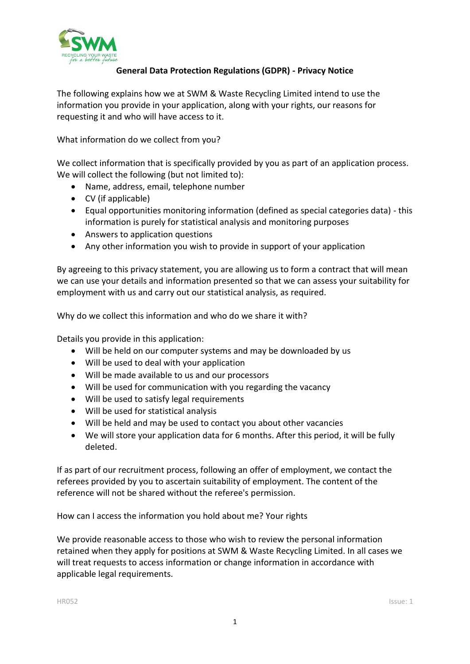

## **General Data Protection Regulations (GDPR) - Privacy Notice**

The following explains how we at SWM & Waste Recycling Limited intend to use the information you provide in your application, along with your rights, our reasons for requesting it and who will have access to it.

What information do we collect from you?

We collect information that is specifically provided by you as part of an application process. We will collect the following (but not limited to):

- Name, address, email, telephone number
- CV (if applicable)
- Equal opportunities monitoring information (defined as special categories data) this information is purely for statistical analysis and monitoring purposes
- Answers to application questions
- Any other information you wish to provide in support of your application

By agreeing to this privacy statement, you are allowing us to form a contract that will mean we can use your details and information presented so that we can assess your suitability for employment with us and carry out our statistical analysis, as required.

Why do we collect this information and who do we share it with?

Details you provide in this application:

- Will be held on our computer systems and may be downloaded by us
- Will be used to deal with your application
- Will be made available to us and our processors
- Will be used for communication with you regarding the vacancy
- Will be used to satisfy legal requirements
- Will be used for statistical analysis
- Will be held and may be used to contact you about other vacancies
- We will store your application data for 6 months. After this period, it will be fully deleted.

If as part of our recruitment process, following an offer of employment, we contact the referees provided by you to ascertain suitability of employment. The content of the reference will not be shared without the referee's permission.

How can I access the information you hold about me? Your rights

We provide reasonable access to those who wish to review the personal information retained when they apply for positions at SWM & Waste Recycling Limited. In all cases we will treat requests to access information or change information in accordance with applicable legal requirements.